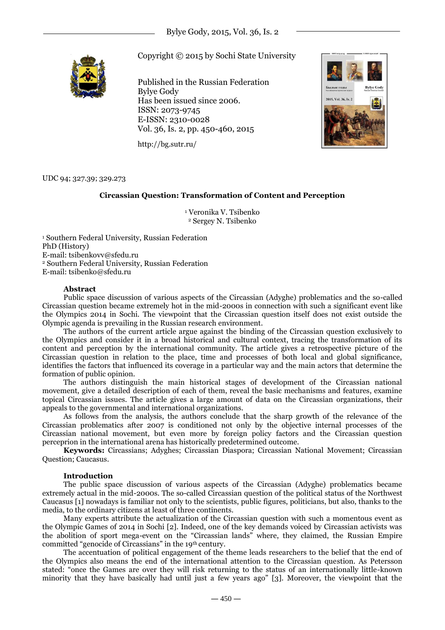

Copyright © 2015 by Sochi State University

Published in the Russian Federation Bylye Gody Has been issued since 2006. ISSN: 2073-9745 E-ISSN: 2310-0028 Vol. 36, Is. 2, pp. 450-460, 2015



http://bg.sutr.ru/

UDC 94; 327.39; 329.273

# **Circassian Question: Transformation of Content and Perception**

<sup>1</sup> Veronika V. Tsibenko <sup>2</sup> Sergey N. Tsibenko

<sup>1</sup> Southern Federal University, Russian Federation PhD (History) E-mail: tsibenkovv@sfedu.ru <sup>2</sup> Southern Federal University, Russian Federation E-mail: tsibenko@sfedu.ru

# **Abstract**

Public space discussion of various aspects of the Circassian (Adyghe) problematics and the so-called Circassian question became extremely hot in the mid-2000s in connection with such a significant event like the Olympics 2014 in Sochi. The viewpoint that the Circassian question itself does not exist outside the Olympic agenda is prevailing in the Russian research environment.

The authors of the current article argue against the binding of the Circassian question exclusively to the Olympics and consider it in a broad historical and cultural context, tracing the transformation of its content and perception by the international community. The article gives a retrospective picture of the Circassian question in relation to the place, time and processes of both local and global significance, identifies the factors that influenced its coverage in a particular way and the main actors that determine the formation of public opinion.

The authors distinguish the main historical stages of development of the Circassian national movement, give a detailed description of each of them, reveal the basic mechanisms and features, examine topical Circassian issues. The article gives a large amount of data on the Circassian organizations, their appeals to the governmental and international organizations.

As follows from the analysis, the authors conclude that the sharp growth of the relevance of the Circassian problematics after 2007 is conditioned not only by the objective internal processes of the Circassian national movement, but even more by foreign policy factors and the Circassian question perceprion in the international arena has historically predetermined outcome.

**Keywords:** Circassians; Adyghes; Circassian Diaspora; Circassian National Movement; Circassian Question; Caucasus.

# **Introduction**

The public space discussion of various aspects of the Circassian (Adyghe) problematics became extremely actual in the mid-2000s. The so-called Circassian question of the political status of the Northwest Caucasus [1] nowadays is familiar not only to the scientists, public figures, politicians, but also, thanks to the media, to the ordinary citizens at least of three continents.

Many experts attribute the actualization of the Circassian question with such a momentous event as the Olympic Games of 2014 in Sochi [2]. Indeed, one of the key demands voiced by Circassian activists was the abolition of sport mega-event on the "Circassian lands" where, they claimed, the Russian Empire committed "genocide of Circassians" in the 19th century.

The accentuation of political engagement of the theme leads researchers to the belief that the end of the Olympics also means the end of the international attention to the Circassian question. As Petersson stated: "once the Games are over they will risk returning to the status of an internationally little-known minority that they have basically had until just a few years ago" [3]. Moreover, the viewpoint that the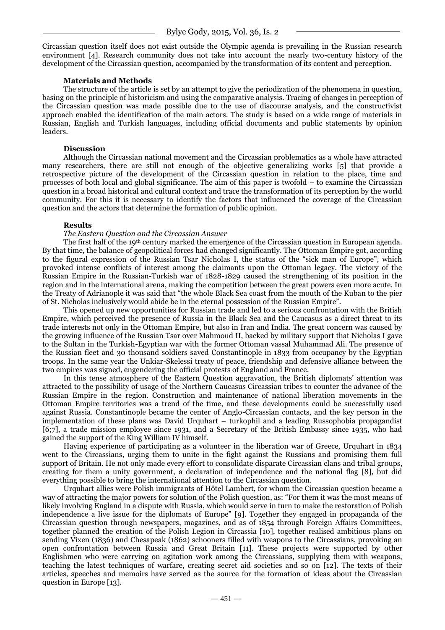Circassian question itself does not exist outside the Olympic agenda is prevailing in the Russian research environment [4]. Research community does not take into account the nearly two-century history of the development of the Circassian question, accompanied by the transformation of its content and perception.

## **Materials and Methods**

The structure of the article is set by an attempt to give the periodization of the phenomena in question, basing on the principle of historicism and using the comparative analysis. Tracing of changes in perception of the Circassian question was made possible due to the use of discourse analysis, and the constructivist approach enabled the identification of the main actors. The study is based on a wide range of materials in Russian, English and Turkish languages, including official documents and public statements by opinion leaders.

## **Discussion**

Although the Circassian national movement and the Circassian problematics as a whole have attracted many researchers, there are still not enough of the objective generalizing works [5] that provide a retrospective picture of the development of the Circassian question in relation to the place, time and processes of both local and global significance. The aim of this paper is twofold – to examine the Circassian question in a broad historical and cultural context and trace the transformation of its perception by the world community. For this it is necessary to identify the factors that influenced the coverage of the Circassian question and the actors that determine the formation of public opinion.

# **Results**

# *The Eastern Question and the Circassian Answer*

The first half of the 19th century marked the emergence of the Circassian question in European agenda. By that time, the balance of geopolitical forces had changed significantly. The Ottoman Empire got, according to the figural expression of the Russian Tsar Nicholas I, the status of the "sick man of Europe", which provoked intense conflicts of interest among the claimants upon the Ottoman legacy. The victory of the Russian Empire in the Russian-Turkish war of 1828-1829 caused the strengthening of its position in the region and in the international arena, making the competition between the great powers even more acute. In the Treaty of Adrianople it was said that "the whole Black Sea coast from the mouth of the Kuban to the pier of St. Nicholas inclusively would abide be in the eternal possession of the Russian Empire".

This opened up new opportunities for Russian trade and led to a serious confrontation with the British Empire, which perceived the presence of Russia in the Black Sea and the Caucasus as a direct threat to its trade interests not only in the Ottoman Empire, but also in Iran and India. The great concern was caused by the growing influence of the Russian Tsar over Mahmoud II, backed by military support that Nicholas I gave to the Sultan in the Turkish-Egyptian war with the former Ottoman vassal Muhammad Ali. The presence of the Russian fleet and 30 thousand soldiers saved Constantinople in 1833 from occupancy by the Egyptian troops. In the same year the Unkiar-Skelessi treaty of peace, friendship and defensive alliance between the two empires was signed, engendering the official protests of England and France.

In this tense atmosphere of the Eastern Question aggravation, the British diplomats' attention was attracted to the possibility of usage of the Northern Caucasus Circassian tribes to counter the advance of the Russian Empire in the region. Construction and maintenance of national liberation movements in the Ottoman Empire territories was a trend of the time, and these developments could be successfully used against Russia. Constantinople became the center of Anglo-Circassian contacts, and the key person in the implementation of these plans was David Urquhart – turkophil and a leading Russophobia propagandist [6;7], a trade mission employee since 1931, and a Secretary of the British Embassy since 1935, who had gained the support of the King William IV himself.

Having experience of participating as a volunteer in the liberation war of Greece, Urquhart in 1834 went to the Circassians, urging them to unite in the fight against the Russians and promising them full support of Britain. He not only made every effort to consolidate disparate Circassian clans and tribal groups, creating for them a unity government, a declaration of independence and the national flag [8], but did everything possible to bring the international attention to the Circassian question.

Urquhart allies were Polish immigrants of Hôtel Lambert, for whom the Circassian question became a way of attracting the major powers for solution of the Polish question, as: "For them it was the most means of likely involving England in a dispute with Russia, which would serve in turn to make the restoration of Polish independence a live issue for the diplomats of Europe" [9]. Together they engaged in propaganda of the Circassian question through newspapers, magazines, and as of 1854 through Foreign Affairs Committees, together planned the creation of the Polish Legion in Circassia [10], together realised ambitious plans on sending Vixen (1836) and Chesapeak (1862) schooners filled with weapons to the Circassians, provoking an open confrontation between Russia and Great Britain [11]. These projects were supported by other Englishmen who were carrying on agitation work among the Circassians, supplying them with weapons, teaching the latest techniques of warfare, creating secret aid societies and so on [12]. The texts of their articles, speeches and memoirs have served as the source for the formation of ideas about the Circassian question in Europe [13].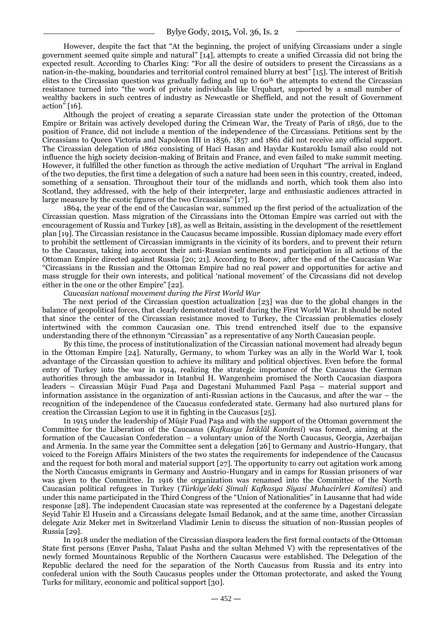However, despite the fact that "At the beginning, the project of unifying Circassians under a single government seemed quite simple and natural" [14], attempts to create a unified Circassia did not bring the expected result. According to Charles King: "For all the desire of outsiders to present the Circassians as a nation-in-the-making, boundaries and territorial control remained blurry at best" [15]. The interest of British elites to the Circassian question was gradually fading and up to 60th the attempts to extend the Circassian resistance turned into "the work of private individuals like Urquhart, supported by a small number of wealthy backers in such centres of industry as Newcastle or Sheffield, and not the result of Government action" [16].

Although the project of creating a separate Circassian state under the protection of the Ottoman Empire or Britain was actively developed during the Crimean War, the Treaty of Paris of 1856, due to the position of France, did not include a mention of the independence of the Circassians. Petitions sent by the Circassians to Queen Victoria and Napoleon III in 1856, 1857 and 1861 did not receive any official support. The Circassian delegation of 1862 consisting of Haci Hasan and Haydar Kustaroklu Ismail also could not influence the high society decision-making of Britain and France, and even failed to make summit meeting. However, it fulfilled the other function as through the active mediation of Urquhart "The arrival in England" of the two deputies, the first time a delegation of such a nature had been seen in this country, created, indeed, something of a sensation. Throughout their tour of the midlands and north, which took them also into Scotland, they addressed, with the help of their interpreter, large and enthusiastic audiences attracted in large measure by the exotic figures of the two Circassians" [17].

1864, the year of the end of the Caucasian war, summed up the first period of the actualization of the Circassian question. Mass migration of the Circassians into the Ottoman Empire was carried out with the encouragement of Russia and Turkey [18], as well as Britain, assisting in the development of the resettlement plan [19]. The Circassian resistance in the Caucasus became impossible. Russian diplomacy made every effort to prohibit the settlement of Circassian immigrants in the vicinity of its borders, and to prevent their return to the Caucasus, taking into account their anti-Russian sentiments and participation in all actions of the Ottoman Empire directed against Russia [20; 21]. According to Borov, after the end of the Caucasian War ―Circassians in the Russian and the Ottoman Empire had no real power and opportunities for active and mass struggle for their own interests, and political 'national movement' of the Circassians did not develop either in the one or the other Empire" [22].

## *Caucasian national movement during the First World War*

The next period of the Circassian question actualization [23] was due to the global changes in the balance of geopolitical forces, that clearly demonstrated itself during the First World War. It should be noted that since the center of the Circassian resistance moved to Turkey, the Circassian problematics closely intertwined with the common Caucasian one. This trend entrenched itself due to the expansive understanding there of the ethnonym "Circassian" as a representative of any North Caucasian people.

By this time, the process of institutionalization of the Circassian national movement had already begun in the Ottoman Empire [24]. Naturally, Germany, to whom Turkey was an ally in the World War I, took advantage of the Circassian question to achieve its military and political objectives. Even before the formal entry of Turkey into the war in 1914, realizing the strategic importance of the Caucasus the German authorities through the ambassador in Istanbul H. Wangenheim promised the North Caucasian diaspora leaders – Circassian Müşir Fuad Paşa and Dagestani Muhammed Fazıl Paşa – material support and information assistance in the organization of anti-Russian actions in the Caucasus, and after the war – the recognition of the independence of the Caucasus confederated state. Germany had also nurtured plans for creation the Circassian Legion to use it in fighting in the Caucasus [25].

In 1915 under the leadership of Müşir Fuad Paşa and with the support of the Ottoman government the Committee for the Liberation of the Caucasus (*Kafkasya İstiklâl Komitesi*) was formed, aiming at the formation of the Caucasian Confederation – a voluntary union of the North Caucasus, Georgia, Azerbaijan and Armenia. In the same year the Committee sent a delegation [26] to Germany and Austrio-Hungary, that voiced to the Foreign Affairs Ministers of the two states the requirements for independence of the Caucasus and the request for both moral and material support [27]. The opportunity to carry out agitation work among the North Caucasus emigrants in Germany and Austrio-Hungary and in camps for Russian prisoners of war was given to the Committee. In 1916 the organization was renamed into the Committee of the North Caucasian political refugees in Turkey (*Türkiye'deki Şimali Kafkasya Siyasi Muhacirleri Komitesi*) and under this name participated in the Third Congress of the "Union of Nationalities" in Lausanne that had wide response [28]. The independent Caucasian state was represented at the conference by a Dagestani delegate Seyid Tahir El Husein and a Circassians delegate Ismail Bedanok, and at the same time, another Circassian delegate Aziz Meker met in Switzerland Vladimir Lenin to discuss the situation of non-Russian peoples of Russia [29].

In 1918 under the mediation of the Circassian diaspora leaders the first formal contacts of the Ottoman State first persons (Enver Pasha, Talaat Pasha and the sultan Mehmed V) with the representatives of the newly formed Mountainous Republic of the Northern Caucasus were established. The Delegation of the Republic declared the need for the separation of the North Caucasus from Russia and its entry into confederal union with the South Caucasus peoples under the Ottoman protectorate, and asked the Young Turks for military, economic and political support [30].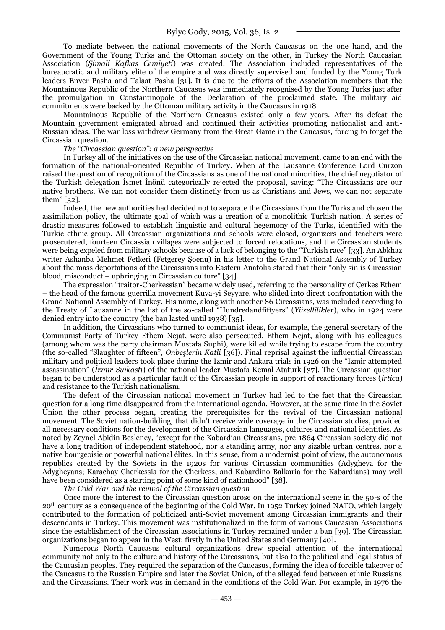To mediate between the national movements of the North Caucasus on the one hand, and the Government of the Young Turks and the Ottoman society on the other, in Turkey the North Caucasian Association (*Şimali Kafkas Cemiyeti*) was created. The Association included representatives of the bureaucratic and military elite of the empire and was directly supervised and funded by the Young Turk leaders Enver Pasha and Talaat Pasha [31]. It is due to the efforts of the Association members that the Mountainous Republic of the Northern Caucasus was immediately recognised by the Young Turks just after the promulgation in Constantinopole of the Declaration of the proclaimed state. The military aid commitments were backed by the Ottoman military activity in the Caucasus in 1918.

Mountainous Republic of the Northern Caucasus existed only a few years. After its defeat the Mountain government emigrated abroad and continued their activities promoting nationalist and anti-Russian ideas. The war loss withdrew Germany from the Great Game in the Caucasus, forcing to forget the Circassian question.

### *The "Circassian question": a new perspective*

In Turkey all of the initiatives on the use of the Circassian national movement, came to an end with the formation of the national-oriented Republic of Turkey. When at the Lausanne Conference Lord Curzon raised the question of recognition of the Circassians as one of the national minorities, the chief negotiator of the Turkish delegation Ismet Inönü categorically rejected the proposal, saying: "The Circassians are our native brothers. We can not consider them distinctly from us as Christians and Jews, we can not separate them" [32].

Indeed, the new authorities had decided not to separate the Circassians from the Turks and chosen the assimilation policy, the ultimate goal of which was a creation of a monolithic Turkish nation. A series of drastic measures followed to establish linguistic and cultural hegemony of the Turks, identified with the Turkic ethnic group. All Circassian organizations and schools were closed, organizers and teachers were prosecutered, fourteen Circassian villages were subjected to forced relocations, and the Circassian students were being expeled from military schools because of a lack of belonging to the "Turkish race" [33]. An Abkhaz writer Ashanba Mehmet Fetkeri (Fetgerey Şoenu) in his letter to the Grand National Assembly of Turkey about the mass deportations of the Circassians into Eastern Anatolia stated that their "only sin is Circassian blood, misconduct – upbringing in Circassian culture"  $[34]$ .

The expression <sup>"</sup>traitor-Cherkessian" became widely used, referring to the personality of Çerkes Ethem – the head of the famous guerrilla movement Kuva-yi Seyyare, who slided into direct confrontation with the Grand National Assembly of Turkey. His name, along with another 86 Circassians, was included according to the Treaty of Lausanne in the list of the so-called "Hundredandfiftyers" (*Yüzellilikler*), who in 1924 were denied entry into the country (the ban lasted until 1938) [35].

In addition, the Circassians who turned to communist ideas, for example, the general secretary of the Communist Party of Turkey Ethem Nejat, were also persecuted. Ethem Nejat, along with his colleagues (among whom was the party chairman Mustafa Suphi), were killed while trying to escape from the country (the so-called ―Slaughter of fifteen‖, *Onbeşlerin Katli* [36]). Final reprisal against the influential Circassian military and political leaders took place during the Izmir and Ankara trials in 1926 on the "Izmir attempted assassination‖ (*İzmir Suikastı*) of the national leader Mustafa Kemal Ataturk [37]. The Circassian question began to be understood as a particular fault of the Circassian people in support of reactionary forces (*irtica*) and resistance to the Turkish nationalism.

The defeat of the Circassian national movement in Turkey had led to the fact that the Circassian question for a long time disappeared from the international agenda. However, at the same time in the Soviet Union the other process began, creating the prerequisites for the revival of the Circassian national movement. The Soviet nation-building, that didn't receive wide coverage in the Circassian studies, provided all necessary conditions for the development of the Circassian languages, cultures and national identities. As noted by Zeynel Abidin Besleney, "except for the Kabardian Circassians, pre-1864 Circassian society did not have a long tradition of independent statehood, nor a standing army, nor any sizable urban centres, nor a native bourgeoisie or powerful national élites. In this sense, from a modernist point of view, the autonomous republics created by the Soviets in the 1920s for various Circassian communities (Adygheya for the Adygheyans; Karachay-Cherkessia for the Cherkess; and Kabardino-Balkaria for the Kabardians) may well have been considered as a starting point of some kind of nationhood" [38].

*The Cold War and the revival of the Circassian question*

Once more the interest to the Circassian question arose on the international scene in the 50-s of the 20th century as a consequence of the beginning of the Cold War. In 1952 Turkey joined NATO, which largely contributed to the formation of politicized anti-Soviet movement among Circassian immigrants and their descendants in Turkey. This movement was institutionalized in the form of various Caucasian Associations since the establishment of the Circassian associations in Turkey remained under a ban [39]. The Circassian organizations began to appear in the West: firstly in the United States and Germany [40].

Numerous North Caucasus cultural organizations drew special attention of the international community not only to the culture and history of the Circassians, but also to the political and legal status of the Caucasian peoples. They required the separation of the Caucasus, forming the idea of forcible takeover of the Caucasus to the Russian Empire and later the Soviet Union, of the alleged feud between ethnic Russians and the Circassians. Their work was in demand in the conditions of the Cold War. For example, in 1976 the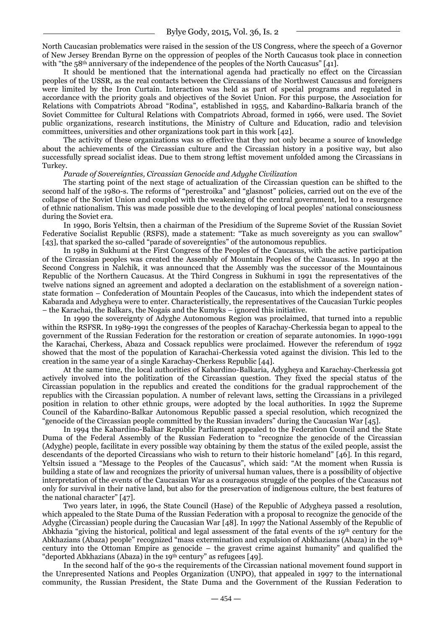North Caucasian problematics were raised in the session of the US Congress, where the speech of a Governor of New Jersey Brendan Byrne on the oppression of peoples of the North Caucasus took place in connection with "the  $58<sup>th</sup>$  anniversary of the independence of the peoples of the North Caucasus" [41].

It should be mentioned that the international agenda had practically no effect on the Circassian peoples of the USSR, as the real contacts between the Circassians of the Northwest Caucasus and foreigners were limited by the Iron Curtain. Interaction was held as part of special programs and regulated in accordance with the priority goals and objectives of the Soviet Union. For this purpose, the Association for Relations with Compatriots Abroad "Rodina", established in 1955, and Kabardino-Balkaria branch of the Soviet Committee for Cultural Relations with Compatriots Abroad, formed in 1966, were used. The Soviet public organizations, research institutions, the Ministry of Culture and Education, radio and television committees, universities and other organizations took part in this work [42].

The activity of these organizations was so effective that they not only became a source of knowledge about the achievements of the Circassian culture and the Circassian history in a positive way, but also successfully spread socialist ideas. Due to them strong leftist movement unfolded among the Circassians in Turkey.

#### *Parade of Sovereignties, Circassian Genocide and Adyghe Civilization*

The starting point of the next stage of actualization of the Circassian question can be shifted to the second half of the 1980-s. The reforms of "perestroika" and "glasnost" policies, carried out on the eve of the collapse of the Soviet Union and coupled with the weakening of the central government, led to a resurgence of ethnic nationalism. This was made possible due to the developing of local peoples' national consciousness during the Soviet era.

In 1990, Boris Yeltsin, then a chairman of the Presidium of the Supreme Soviet of the Russian Soviet Federative Socialist Republic (RSFS), made a statement: "Take as much sovereignty as you can swallow" [43], that sparked the so-called "parade of sovereignties" of the autonomous republics.

In 1989 in Sukhumi at the First Congress of the Peoples of the Caucasus, with the active participation of the Circassian peoples was created the Assembly of Mountain Peoples of the Caucasus. In 1990 at the Second Congress in Nalchik, it was announced that the Assembly was the successor of the Mountainous Republic of the Northern Caucasus. At the Third Congress in Sukhumi in 1991 the representatives of the twelve nations signed an agreement and adopted a declaration on the establishment of a sovereign nationstate formation – Confederation of Mountain Peoples of the Caucasus, into which the independent states of Kabarada and Adygheya were to enter. Characteristically, the representatives of the Caucasian Turkic peoples – the Karachai, the Balkars, the Nogais and the Kumyks – ignored this initiative.

In 1990 the sovereignty of Adyghe Autonomous Region was proclaimed, that turned into a republic within the RSFSR. In 1989-1991 the congresses of the peoples of Karachay-Cherkessia began to appeal to the government of the Russian Federation for the restoration or creation of separate autonomies. In 1990-1991 the Karachai, Cherkess, Abaza and Cossack republics were proclaimed. However the referendum of 1992 showed that the most of the population of Karachai-Cherkessia voted against the division. This led to the creation in the same year of a single Karachay-Cherkess Republic [44].

At the same time, the local authorities of Kabardino-Balkaria, Adygheya and Karachay-Cherkessia got actively involved into the politization of the Circassian question. They fixed the special status of the Circassian population in the republics and created the conditions for the gradual rapprochement of the republics with the Circassian population. A number of relevant laws, setting the Circassians in a privileged position in relation to other ethnic groups, were adopted by the local authorities. In 1992 the Supreme Council of the Kabardino-Balkar Autonomous Republic passed a special resolution, which recognized the "genocide of the Circassian people committed by the Russian invaders" during the Caucasian War [45].

In 1994 the Kabardino-Balkar Republic Parliament appealed to the Federation Council and the State Duma of the Federal Assembly of the Russian Federation to "recognize the genocide of the Circassian (Adyghe) people, facilitate in every possible way obtaining by them the status of the exiled people, assist the descendants of the deported Circassians who wish to return to their historic homeland"  $[46]$ . In this regard, Yeltsin issued a "Message to the Peoples of the Caucasus", which said: "At the moment when Russia is building a state of law and recognizes the priority of universal human values, there is a possibility of objective interpretation of the events of the Caucasian War as a courageous struggle of the peoples of the Caucasus not only for survival in their native land, but also for the preservation of indigenous culture, the best features of the national character" [47].

Two years later, in 1996, the State Council (Hase) of the Republic of Adygheya passed a resolution, which appealed to the State Duma of the Russian Federation with a proposal to recognize the genocide of the Adyghe (Circassian) people during the Caucasian War [48]. In 1997 the National Assembly of the Republic of Abkhazia "giving the historical, political and legal assessment of the fatal events of the 19th century for the Abkhazians (Abaza) people" recognized "mass extermination and expulsion of Abkhazians (Abaza) in the 19th century into the Ottoman Empire as genocide  $-$  the gravest crime against humanity" and qualified the "deported Abkhazians (Abaza) in the 19th century" as refugees [49].

In the second half of the 90-s the requirements of the Circassian national movement found support in the Unrepresented Nations and Peoples Organization (UNPO), that appealed in 1997 to the international community, the Russian President, the State Duma and the Government of the Russian Federation to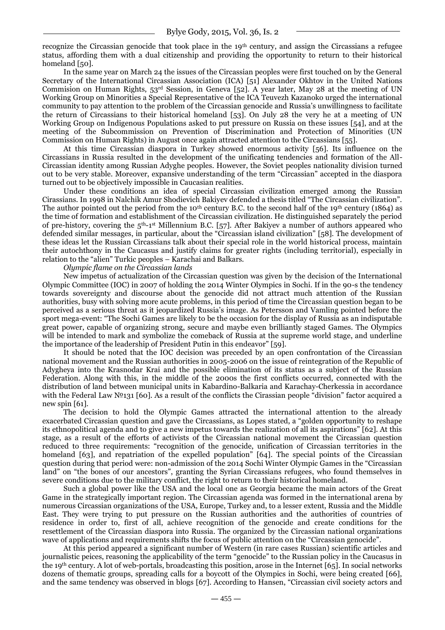recognize the Circassian genocide that took place in the 19th century, and assign the Circassians a refugee status, affording them with a dual citizenship and providing the opportunity to return to their historical homeland [50].

In the same year on March 24 the issues of the Circassian peoples were first touched on by the General Secretary of the International Circassian Association (ICA) [51] Alexander Okhtov in the United Nations Commision on Human Rights, 53rd Session, in Geneva [52]. A year later, May 28 at the meeting of UN Working Group on Minorities a Special Representative of the ICA Teuvezh Kazanoko urged the international community to pay attention to the problem of the Circassian genocide and Russia's unwillingness to facilitate the return of Circassians to their historical homeland [53]. On July 28 the very he at a meeting of UN Working Group on Indigenous Populations asked to put pressure on Russia on these issues [54], and at the meeting of the Subcommission on Prevention of Discrimination and Protection of Minorities (UN Commission on Human Rights) in August once again attracted attention to the Circassians [55].

At this time Circassian diaspora in Turkey showed enormous activity [56]. Its influence on the Circassians in Russia resulted in the development of the unificating tendencies and formation of the All-Circassian identity among Russian Adyghe peoples. However, the Soviet peoples nationality division turned out to be very stable. Moreover, expansive understanding of the term "Circassian" accepted in the diaspora turned out to be objectively impossible in Caucasian realities.

Under these conditions an idea of special Circassian civilization emerged among the Russian Cirassians. In 1998 in Nalchik Amur Shodievich Bakiyev defended a thesis titled "The Circassian civilization". The author pointed out the period from the 10<sup>th</sup> century B.C. to the second half of the 19<sup>th</sup> century (1864) as the time of formation and establishment of the Circassian civilization. He distinguished separately the period of pre-history, covering the  $5<sup>th-1</sup>$ <sup>st</sup> Millennium B.C. [57]. After Bakiyev a number of authors appeared who defended similar messages, in particular, about the "Circassian island civilization" [58]. The development of these ideas let the Russian Circassians talk about their special role in the world historical process, maintain their autochthony in the Caucasus and justify claims for greater rights (including territorial), especially in relation to the "alien" Turkic peoples – Karachai and Balkars.

# *Olympic flame on the Circassian lands*

New impetus of actualization of the Circassian question was given by the decision of the International Olympic Committee (IOC) in 2007 of holding the 2014 Winter Olympics in Sochi. If in the 90-s the tendency towards sovereignty and discourse about the genocide did not attract much attention of the Russian authorities, busy with solving more acute problems, in this period of time the Circassian question began to be perceived as a serious threat as it jeopardized Russia's image. As Petersson and Vamling pointed before the sport mega-event: "The Sochi Games are likely to be the occasion for the display of Russia as an indisputable great power, capable of organizing strong, secure and maybe even brilliantly staged Games. The Olympics will be intended to mark and symbolize the comeback of Russia at the supreme world stage, and underline the importance of the leadership of President Putin in this endeavor" [59].

It should be noted that the IOC decision was preceded by an open confrontation of the Circassian national movement and the Russian authorities in 2005-2006 on the issue of reintegration of the Republic of Adygheya into the Krasnodar Krai and the possible elimination of its status as a subject of the Russian Federation. Along with this, in the middle of the 2000s the first conflicts occurred, connected with the distribution of land between municipal units in Kabardino-Balkaria and Karachay-Cherkessia in accordance with the Federal Law №131 [60]. As a result of the conflicts the Cirassian people "division" factor acquired a new spin [61].

The decision to hold the Olympic Games attracted the international attention to the already exacerbated Circassian question and gave the Circassians, as Lopes stated, a "golden opportunity to reshape its ethnopolitical agenda and to give a new impetus towards the realization of all its aspirations" [62]. At this stage, as a result of the efforts of activists of the Circassian national movement the Circassian question reduced to three requirements: "recognition of the genocide, unification of Circassian territories in the homeland [63], and repatriation of the expelled population" [64]. The special points of the Circassian question during that period were: non-admission of the 2014 Sochi Winter Olympic Games in the "Circassian" land" on "the bones of our ancestors", granting the Syrian Circassians refugees, who found themselves in severe conditions due to the military conflict, the right to return to their historical homeland.

Such a global power like the USA and the local one as Georgia became the main actors of the Great Game in the strategically important region. The Circassian agenda was formed in the international arena by numerous Circassian organizations of the USA, Europe, Turkey and, to a lesser extent, Russia and the Middle East. They were trying to put pressure on the Russian authorities and the authorities of countries of residence in order to, first of all, achieve recognition of the genocide and create conditions for the resettlement of the Circassian diaspora into Russia. The organized by the Circassian national organizations wave of applications and requirements shifts the focus of public attention on the "Circassian genocide".

At this period appeared a significant number of Western (in rare cases Russian) scientific articles and journalistic peices, reasoning the applicability of the term "genocide" to the Russian policy in the Caucasus in the 19th century. A lot of web-portals, broadcasting this position, arose in the Internet [65]. In social networks dozens of thematic groups, spreading calls for a boycott of the Olympics in Sochi, were being created [66], and the same tendency was observed in blogs [67]. According to Hansen, "Circassian civil society actors and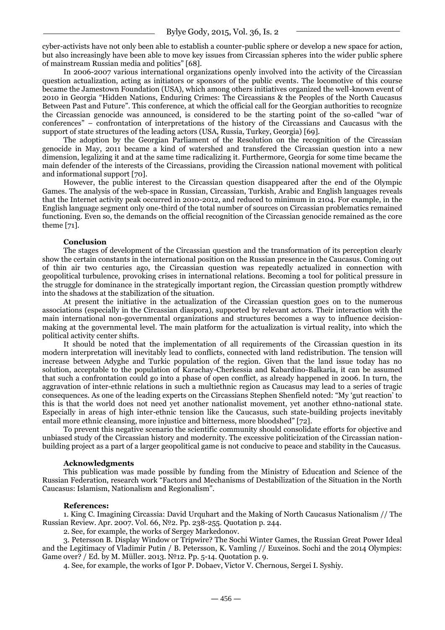cyber-activists have not only been able to establish a counter-public sphere or develop a new space for action, but also increasingly have been able to move key issues from Circassian spheres into the wider public sphere of mainstream Russian media and politics" [68].

In 2006-2007 various international organizations openly involved into the activity of the Circassian question actualization, acting as initiators or sponsors of the public events. The locomotive of this course became the Jamestown Foundation (USA), which among others initiatives organized the well-known event of 2010 in Georgia ―Hidden Nations, Enduring Crimes: The Circassians & the Peoples of the North Caucasus Between Past and Future". This conference, at which the official call for the Georgian authorities to recognize the Circassian genocide was announced, is considered to be the starting point of the so-called "war of conferences‖ – confrontation of interpretations of the history of the Circassians and Caucasus with the support of state structures of the leading actors (USA, Russia, Turkey, Georgia) [69].

The adoption by the Georgian Parliament of the Resolution on the recognition of the Circassian genocide in May, 2011 became a kind of watershed and transfered the Circassian question into a new dimension, legalizing it and at the same time radicalizing it. Furthermore, Georgia for some time became the main defender of the interests of the Circassians, providing the Circassion national movement with political and informational support [70].

However, the public interest to the Circassian question disappeared after the end of the Olympic Games. The analysis of the web-space in Russian, Circassian, Turkish, Arabic and English languages reveals that the Internet activity peak occurred in 2010-2012, and reduced to minimum in 2104. For example, in the English language segment only one-third of the total number of sources on Circassian problematics remained functioning. Even so, the demands on the official recognition of the Circassian genocide remained as the core theme [71].

## **Conclusion**

The stages of development of the Circassian question and the transformation of its perception clearly show the certain constants in the international position on the Russian presence in the Caucasus. Coming out of thin air two centuries ago, the Circassian question was repeatedly actualized in connection with geopolitical turbulence, provoking crises in international relations. Becoming a tool for political pressure in the struggle for dominance in the strategically important region, the Circassian question promptly withdrew into the shadows at the stabilization of the situation.

At present the initiative in the actualization of the Circassian question goes on to the numerous associations (especially in the Circassian diaspora), supported by relevant actors. Their interaction with the main international non-governmental organizations and structures becomes a way to influence decisionmaking at the governmental level. The main platform for the actualization is virtual reality, into which the political activity center shifts.

It should be noted that the implementation of all requirements of the Circassian question in its modern interpretation will inevitably lead to conflicts, connected with land redistribution. The tension will increase between Adyghe and Turkic population of the region. Given that the land issue today has no solution, acceptable to the population of Karachay-Cherkessia and Kabardino-Balkaria, it can be assumed that such a confrontation could go into a phase of open conflict, as already happened in 2006. In turn, the aggravation of inter-ethnic relations in such a multiethnic region as Caucasus may lead to a series of tragic consequences. As one of the leading experts on the Circassians Stephen Shenfield noted: "My 'gut reaction' to this is that the world does not need yet another nationalist movement, yet another ethno-national state. Especially in areas of high inter-ethnic tension like the Caucasus, such state-building projects inevitably entail more ethnic cleansing, more injustice and bitterness, more bloodshed" [72].

To prevent this negative scenario the scientific community should consolidate efforts for objective and unbiased study of the Circassian history and modernity. The excessive politicization of the Circassian nationbuilding project as a part of a larger geopolitical game is not conducive to peace and stability in the Caucasus.

#### **Acknowledgments**

This publication was made possible by funding from the Ministry of Education and Science of the Russian Federation, research work "Factors and Mechanisms of Destabilization of the Situation in the North Caucasus: Islamism, Nationalism and Regionalism".

#### **References:**

1. King C. Imagining Circassia: David Urquhart and the Making of North Caucasus Nationalism // The Russian Review. Apr. 2007. Vol. 66, №2. Рр. 238-255. Quotation p. 244.

2. See, for example, the works of Sergey Markedonov.

3. Petersson B. Display Window or Tripwire? The Sochi Winter Games, the Russian Great Power Ideal and the Legitimacy of Vladimir Putin / B. Petersson, K. Vamling // Euxeinos. Sochi and the 2014 Olympics: Game over? / Ed. by M. Müller. 2013. №12. Pр. 5-14. Quotation p. 9.

4. See, for example, the works of Igor P. Dobaev, Victor V. Chernous, Sergei I. Syshiy.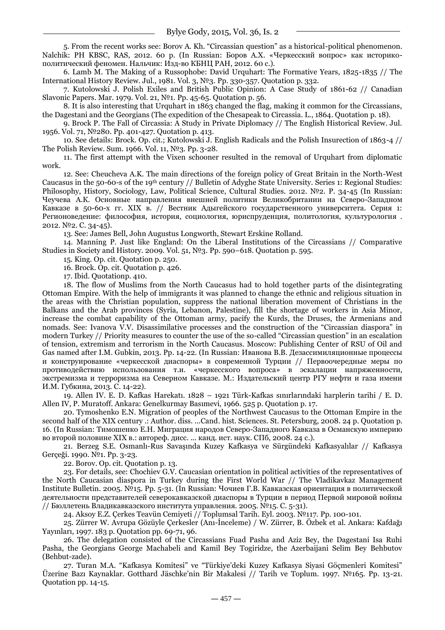5. From the recent works see: Borov A. Kh. ―Circassian question‖ as a historical-political phenomenon. Nalchik: PH KBSC, RAS, 2012. 60 p. (In Russian: Боров А.Х. «Черкесский вопрос» как историкополитический феномен. Нальчик: Изд-во КБНЦ РАН, 2012. 60 с.).

6. Lamb M. The Making of a Russophobe: David Urquhart: The Formative Years, 1825-1835 // The International History Review. Jul., 1981. Vol. 3, №3. Рp. 330-357. Quotation p. 332.

7. Kutolowski J. Polish Exiles and British Public Opinion: A Case Study of 1861-62 // Canadian Slavonic Papers. Mar. 1979. Vol. 21, №1. Рp. 45-65. Quotation p. 56.

8. It is also interesting that Urquhart in 1863 changed the flag, making it common for the Circassians, the Dagestani and the Georgians (The expedition of the Chesapeak to Circassia. L., 1864. Quotation p. 18).

9. Brock P. The Fall of Circassia: A Study in Private Diplomacy // The English Historical Review. Jul. 1956. Vol. 71, №280. Рp. 401-427. Quotation p. 413.

10. See details: Brock. Op. cit.; Kutolowski J. English Radicals and the Polish Insurection of 1863-4 // The Polish Review. Sum. 1966. Vol. 11, №3. Рp. 3-28.

11. The first attempt with the Vixen schooner resulted in the removal of Urquhart from diplomatic work.

12. See: Cheucheva A.K. The main directions of the foreign policy of Great Britain in the North-West Caucasus in the 50-60-s of the 19th century // Bulletin of Adyghe State University. Series 1: Regional Studies: Philosophy, History, Sociology, Law, Political Science, Cultural Studies. 2012. №2. P. 34-45 (In Russian: Чеучева А.К. Основные направления внешней политики Великобритании на Северо-Западном Кавказе в 50-60-х гг. XIX в. // Вестник Адыгейского государственного университета. Серия 1: Регионоведение: философия, история, социология, юриспруденция, политология, культурология . 2012. №2. С. 34-45).

13. See: James Bell, John Augustus Longworth, Stewart Erskine Rolland.

14. Manning P. Just like England: On the Liberal Institutions of the Circassians // Comparative Studies in Society and History. 2009. Vol. 51, №3. Рр. 590–618. Quotation p. 595.

15. King. Op. cit. Quotation p. 250.

16. Brock. Op. cit. Quotation p. 426.

17. Ibid. Quotationp. 410.

18. The flow of Muslims from the North Caucasus had to hold together parts of the disintegrating Ottoman Empire. With the help of immigrants it was planned to change the ethnic and religious situation in the areas with the Christian population, suppress the national liberation movement of Christians in the Balkans and the Arab provinces (Syria, Lebanon, Palestine), fill the shortage of workers in Asia Minor, increase the combat capability of the Ottoman army, pacify the Kurds, the Druses, the Armenians and nomads. See: Ivanova V.V. Disassimilative processes and the construction of the "Circassian diaspora" in modern Turkey // Priority measures to counter the use of the so-called "Circassian question" in an escalation of tension, extremism and terrorism in the North Caucasus. Moscow: Publishing Center of RSU of Oil and Gas named after I.M. Gubkin, 2013. Pp. 14-22. (In Russian: Иванова В.В. Дезассимиляционные процессы и конструирование «черкесской диаспоры» в современной Турции // Первоочередные меры по противодействию использования т.н. «черкесского вопроса» в эскалации напряженности, экстремизма и терроризма на Северном Кавказе. М.: Издательский центр РГУ нефти и газа имени И.М. Губкина, 2013. С. 14-22).

19. Allen IV. E. D. Kafkas Harekatı. 1828 – 1921 Türk-Kafkas sınırlarındaki harplerin tarihi / E. D. Allen IV, P. Muratoff. Ankara: Genelkurmay Basımevi, 1966. 525 p. Quotation p. 17.

20. Tymoshenko E.N. Migration of peoples of the Northwest Caucasus to the Ottoman Empire in the second half of the XIX century .: Author. diss. ...Cand. hist. Sciences. St. Petersburg, 2008. 24 p. Quotation p. 16. (In Russian: Тимошенко Е.Н. Миграция народов Северо-Западного Кавказа в Османскую империю во второй половине XIX в.: автореф. дисс. ... канд. ист. наук. СПб, 2008. 24 c.).

21. Berzeg S.E. Osmanlı-Rus Savaşında Kuzey Kafkasya ve Sürgündeki Kafkasyalılar // Kafkasya Gerçeği. 1990. №1. Pp. 3-23.

22. Borov. Op. cit. Quotation p. 13.

23. For details, see: Chochiev G.V. Caucasian orientation in political activities of the representatives of the North Caucasian diaspora in Turkey during the First World War // The Vladikavkaz Management Institute Bulletin. 2005. №15. Pp. 5-31. (In Russian: Чочиев Г.В. Кавказская ориентация в политической деятельности представителей северокавказской диаспоры в Турции в период Первой мировой войны // Бюллетень Владикавказского института управления. 2005. №15. C. 5-31).

24. Aksoy E.Z. Çerkes Teavün Cemiyeti // Toplumsal Tarih. Eyl. 2003. №117. Рp. 100-101.

25. Zürrer W. Avrupa Gözüyle Çerkesler (Anı-İnceleme) / W. Zürrer, B. Özbek et al. Ankara: Kafdağı Yayınları, 1997. 183 р. Quotation pp. 69-71, 96.

26. The delegation consisted of the Circassians Fuad Pasha and Aziz Bey, the Dagestani Isa Ruhi Pasha, the Georgians George Machabeli and Kamil Bey Togiridze, the Azerbaijani Selim Bey Behbutov (Behbut-zade).

27. Turan M.A. "Kafkasya Komitesi" ve "Türkiye'deki Kuzey Kafkasya Siyasi Göçmenleri Komitesi" Üzerine Bazı Kaynaklar. Gotthard Jäschke'nin Bir Makalesi // Tarih ve Toplum. 1997. №165. Pp. 13-21. Quotation pp. 14-15.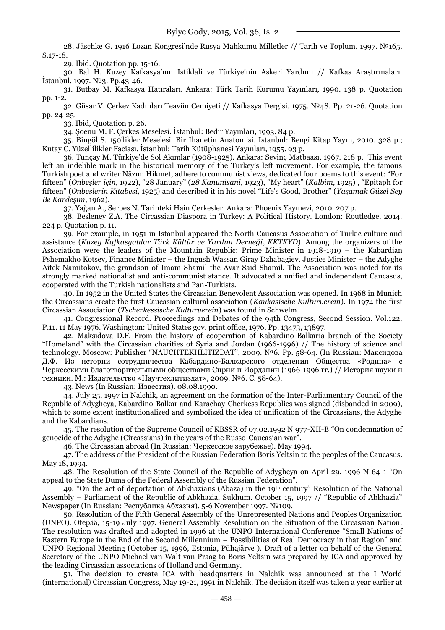28. Jäschke G. 1916 Lozan Kongresi'nde Rusya Mahkumu Milletler // Tarih ve Toplum. 1997. №165. S.17-18.

29. Ibid. Quotation pp. 15-16.

30. Bal H. Kuzey Kafkasya'nın İstiklali ve Türkiye'nin Askeri Yardımı // Kafkas Araştırmaları. İstanbul, 1997. №3. Pр.43-46.

31. Butbay M. Kafkasya Hatıraları. Ankara: Türk Tarih Kurumu Yayınları, 1990. 138 р. Quotation pp. 1-2.

32. Güsar V. Çerkez Kadınları Teavün Cemiyeti // Kafkasya Dergisi. 1975. №48. Рр. 21-26. Quotation pp. 24-25.

33. Ibid, Quotation p. 26.

34. Şoenu M. F. Çerkes Meselesi. İstanbul: Bedir Yayınları, 1993. 84 p.

35. Bingöl S. 150'likler Meselesi. Bir İhanetin Anatomisi. İstanbul: Bengi Kitap Yayın, 2010. 328 р.; Kutay C. Yüzellilikler Faciası. İstanbul: Tarih Kütüphanesi Yayınları, 1955. 93 p.

36. Tunçay M. Türkiye'de Sol Akımlar (1908-1925). Ankara: Sevinç Matbaası, 1967. 218 p. This event left an indelible mark in the historical memory of the Turkey's left movement. For example, the famous Turkish poet and writer Nâzım Hikmet, adhere to communist views, dedicated four poems to this event: "For fifteen" (Onbesler için, 1922), "28 January" (28 Kanunisani, 1923), "My heart" (*Kalbim*, 1925), "Epitaph for fifteen‖ (*Onbeşlerin Kitabesi*, 1925) and described it in his novel ―Life's Good, Brother‖ (*Yaşamak Güzel Şey Be Kardeşim*, 1962).

37. Yağan A., Serbes N. Tarihteki Hain Çerkesler. Ankara: Phoenix Yayınevi, 2010. 207 p.

38. Besleney Z.A. The Circassian Diaspora in Turkey: A Political History. London: Routledge, 2014. 224 p. Quotation p. 11.

39. For example, in 1951 in Istanbul appeared the North Caucasus Association of Turkic culture and assistance (*Kuzey Kafkasyalılar Türk Kültür ve Yardım Derneği*, *KKTKYD*). Among the organizers of the Association were the leaders of the Mountain Republic: Prime Minister in 1918-1919 – the Kabardian Pshemakho Kotsev, Finance Minister – the Ingush Wassan Giray Dzhabagiev, Justice Minister – the Adyghe Aitek Namitokov, the grandson of Imam Shamil the Avar Said Shamil. The Association was noted for its strongly marked nationalist and anti-communist stance. It advocated a unified and independent Caucasus, cooperated with the Turkish nationalists and Pan-Turkists.

40. In 1952 in the United States the Circassian Benevolent Association was opened. In 1968 in Munich the Circassians create the first Caucasian cultural association (*Kaukasische Kulturverein*). In 1974 the first Circassian Association (*Tscherkessische Kulturverein*) was found in Schwelm.

41. Congressional Record. Proceedings and Debates of the 94th Congress, Second Session. Vol.122, Р.11. 11 May 1976. Washington: United States gov. print.office, 1976. Pр. 13473, 13897.

42. Maksidova D.F. From the history of cooperation of Kabardino-Balkaria branch of the Society ―Homeland‖ with the Circassian charities of Syria and Jordan (1966-1996) // The history of science and technology. Moscow: Publisher ―NAUCHTEKHLITIZDAT‖, 2009. №6. Pp. 58-64. (In Russian: Максидова Д.Ф. Из истории сотрудничества Кабардино-Балкарского отделения Общества «Родина» с Черкесскими благотворительными обществами Сирии и Иордании (1966-1996 гг.) // История науки и техники. М.: Издательство «Научтехлитиздат», 2009. №6. С. 58-64).

43. News (In Russian: Известия). 08.08.1990.

44. July 25, 1997 in Nalchik, an agreement on the formation of the Inter-Parliamentary Council of the Republic of Adygheya, Kabardino-Balkar and Karachay-Cherkess Republics was signed (disbanded in 2009), which to some extent institutionalized and symbolized the idea of unification of the Circassians, the Adyghe and the Kabardians.

45. The resolution of the Supreme Council of KBSSR of 07.02.1992 N 977-XII-B "On condemnation of genocide of the Adyghe (Circassians) in the years of the Russo-Caucasian war".

46. The Circassian abroad (In Russian: Черкесское зарубежье). May 1994.

47. The address of the President of the Russian Federation Boris Yeltsin to the peoples of the Caucasus. May 18, 1994.

48. The Resolution of the State Council of the Republic of Adygheya on April 29, 1996 N 64-1 "On appeal to the State Duma of the Federal Assembly of the Russian Federation".

49. "On the act of deportation of Abkhazians (Abaza) in the 19<sup>th</sup> century" Resolution of the National Assembly – Parliament of the Republic of Abkhazia, Sukhum. October 15, 1997 // "Republic of Abkhazia" Newspaper (In Russian: Республика Абхазия). 5-6 November 1997. №109.

50. Resolution of the Fifth General Assembly of the Unrepresented Nations and Peoples Organization (UNPO). Otepää, 15-19 July 1997. General Assembly Resolution on the Situation of the Circassian Nation. The resolution was drafted and adopted in 1996 at the UNPO International Conference "Small Nations of Eastern Europe in the End of the Second Millennium – Possibilities of Real Democracy in that Region" and UNPO Regional Meeting (October 15, 1996, Estonia, Pühajärve ). Draft of a letter on behalf of the General Secretary of the UNPO Michael van Walt van Praag to Boris Yeltsin was prepared by ICA and approved by the leading Circassian associations of Holland and Germany.

51. The decision to create ICA with headquarters in Nalchik was announced at the I World (international) Circassian Congress, May 19-21, 1991 in Nalchik. The decision itself was taken a year earlier at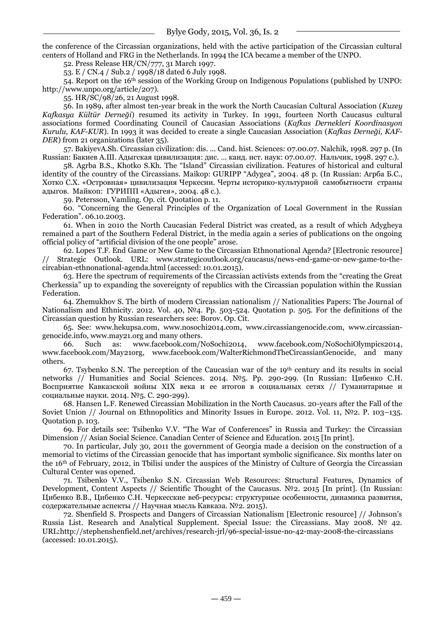the conference of the Circassian organizations, held with the active participation of the Circassian cultural centers of Holland and FRG in the Netherlands. In 1994 the ICA became a member of the UNPO.

52. Press Release HR/CN/777, 31 March 1997.

53. E / CN.4 / Sub.2 / 1998/18 dated 6 July 1998.

54. Report on the 16th session of the Working Group on Indigenous Populations (published by UNPO: http://www.unpo.org/article/207).

55. HR/SC/98/26, 21 August 1998.

56. In 1989, after almost ten-year break in the work the North Caucasian Cultural Association (*Kuzey Kafkasya Kültür Derneği*) resumed its activity in Turkey. In 1991, fourteen North Caucasus cultural associations formed Coordinating Council of Caucasian Associations (*Kafkas Dernekleri Koordinasyon Kurulu, KAF-KUR*). In 1993 it was decided to create a single Caucasian Association (*Kafkas Derneği, KAF-DER*) from 21 organizations (later 35).

57. BakiyevA.Sh. Circassian civilization: dis. ... Cand. hist. Sciences: 07.00.07. Nalchik, 1998. 297 p. (In Russian: Бакиев А.Ш. Адыгская цивилизация: дис. … канд. ист. наук: 07.00.07. Нальчик, 1998. 297 с.).

58. Agrba B.S., Khotko S.Kh. The "Island" Circassian civilization. Features of historical and cultural identity of the country of the Circassians. Maikop: GURIPP "Adygea", 2004. 48 p. (In Russian: Агрба Б.С., Хотко С.Х. «Островная» цивилизация Черкесии. Черты историко-культурной самобытности страны адыгов. Майкоп: ГУРИПП «Адыгея», 2004. 48 с.).

59. Petersson, Vamling. Op. cit. Quotation p. 11.

60. "Concerning the General Principles of the Organization of Local Government in the Russian Federation". 06.10.2003.

61. When in 2010 the North Caucasian Federal District was created, as a result of which Adygheya remained a part of the Southern Federal District, in the media again a series of publications on the ongoing official policy of "artificial division of the one people" arose.

62. Lopes T.F. End Game or New Game to the Circassian Ethnonational Agenda? [Electronic resource] // Strategic Outlook. URL: www.strategicoutlook.org/caucasus/news-end-game-or-new-game-to-thecircabian-ethnonational-agenda.html (accessed: 10.01.2015).

63. Here the spectrum of requirements of the Circassian activists extends from the "creating the Great" Cherkessia‖ up to expanding the sovereignty of republics with the Circassian population within the Russian Federation.

64. Zhemukhov S. The birth of modern Circassian nationalism // Nationalities Papers: The Journal of Nationalism and Ethnicity. 2012. Vol. 40, №4. Pp. 503-524. Quotation p. 505. For the definitions of the Circassian question by Russian researchers see: Borov. Op. Cit.

65. See: www.hekupsa.com, www.nosochi2014.com, www.circassiangenocide.com, www.circassiangenocide.info, www.may21.org and many others.

66. Such as: www.facebook.com/NoSochi2014, www.facebook.com/NoSochiOlympics2014, www.facebook.com/May21org, www.facebook.com/WalterRichmondTheCircassianGenocide, and many others.

67. Tsybenko S.N. The perception of the Caucasian war of the 19th century and its results in social networks // Humanities and Social Sciences. 2014. №5. Pp. 290-299. (In Russian: Цибенко С.Н. Восприятие Кавказской войны XIX века и ее итогов в социальных сетях // Гуманитарные и социальные науки. 2014. №5. С. 290-299).

68. Hansen L.F. Renewed Circassian Mobilization in the North Caucasus. 20-years after the Fall of the Soviet Union // Journal on Ethnopolitics and Minority Issues in Europe. 2012. Vol. 11, №2. P. 103–135. Quotation p. 103.

69. For details see: Tsibenko V.V. "The War of Conferences" in Russia and Turkey: the Circassian Dimension // Asian Social Science. Canadian Center of Science and Education. 2015 [In print].

70. In particular, July 30, 2011 the government of Georgia made a decision on the construction of a memorial to victims of the Circassian genocide that has important symbolic significance. Six months later on the 16th of February, 2012, in Tbilisi under the auspices of the Ministry of Culture of Georgia the Circassian Cultural Center was opened.

71. Tsibenko V.V., Tsibenko S.N. Circassian Web Resources: Structural Features, Dynamics of Development, Content Aspects // Scientific Thought of the Caucasus. №2. 2015 [In print]. (In Russian: Цибенко В.В., Цибенко С.Н. Черкесские веб-ресурсы: структурные особенности, динамика развития, содержательные аспекты // Научная мысль Кавказа. №2. 2015).

72. Shenfield S. Prospects and Dangers of Circassian Nationalism [Electronic resource] // Johnson's Russia List. Research and Analytical Supplement. Special Issue: the Circassians. May 2008. № 42. URL:http://stephenshenfield.net/archives/research-jrl/96-special-issue-no-42-may-2008-the-circassians (accessed: 10.01.2015).